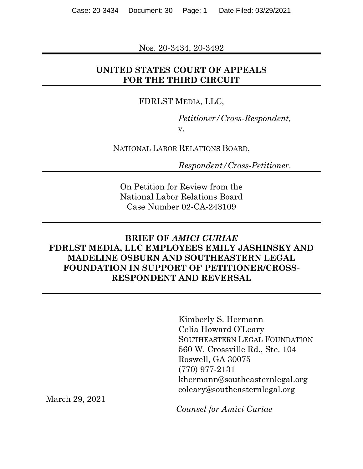Nos. 20-3434, 20-3492

## **UNITED STATES COURT OF APPEALS FOR THE THIRD CIRCUIT**

#### FDRLST MEDIA, LLC,

*Petitioner/Cross-Respondent,* v.

NATIONAL LABOR RELATIONS BOARD,

*Respondent/Cross-Petitioner*.

On Petition for Review from the National Labor Relations Board Case Number 02-CA-243109

## **BRIEF OF** *AMICI CURIAE* **FDRLST MEDIA, LLC EMPLOYEES EMILY JASHINSKY AND MADELINE OSBURN AND SOUTHEASTERN LEGAL FOUNDATION IN SUPPORT OF PETITIONER/CROSS-RESPONDENT AND REVERSAL**

Kimberly S. Hermann Celia Howard O'Leary SOUTHEASTERN LEGAL FOUNDATION 560 W. Crossville Rd., Ste. 104 Roswell, GA 30075 (770) 977-2131 khermann@southeasternlegal.org coleary@southeasternlegal.org

March 29, 2021

*Counsel for Amici Curiae*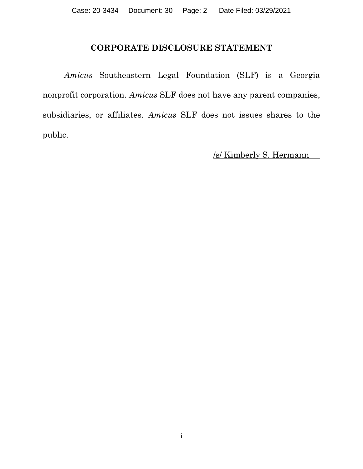## **CORPORATE DISCLOSURE STATEMENT**

<span id="page-1-0"></span>*Amicus* Southeastern Legal Foundation (SLF) is a Georgia nonprofit corporation. *Amicus* SLF does not have any parent companies, subsidiaries, or affiliates. *Amicus* SLF does not issues shares to the public.

/s/ Kimberly S. Hermann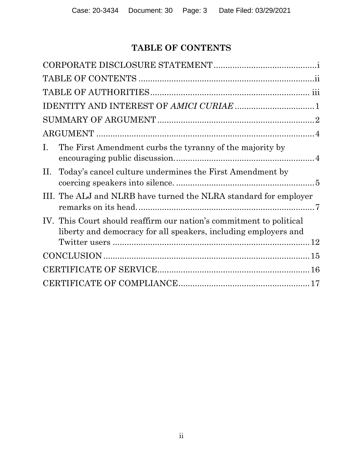# **TABLE OF CONTENTS**

<span id="page-2-0"></span>

| $\mathbf{I}$ .<br>The First Amendment curbs the tyranny of the majority by                                                             |
|----------------------------------------------------------------------------------------------------------------------------------------|
| Today's cancel culture undermines the First Amendment by<br>П.                                                                         |
| III. The ALJ and NLRB have turned the NLRA standard for employer                                                                       |
| IV. This Court should reaffirm our nation's commitment to political<br>liberty and democracy for all speakers, including employers and |
|                                                                                                                                        |
|                                                                                                                                        |
|                                                                                                                                        |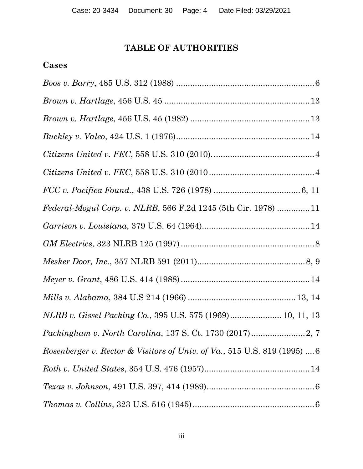# **TABLE OF AUTHORITIES**

# <span id="page-3-0"></span>**Cases**

| Federal-Mogul Corp. v. NLRB, 566 F.2d 1245 (5th Cir. 1978) 11                        |
|--------------------------------------------------------------------------------------|
|                                                                                      |
|                                                                                      |
|                                                                                      |
|                                                                                      |
|                                                                                      |
| NLRB v. Gissel Packing Co., 395 U.S. 575 (1969) 10, 11, 13                           |
| <i>Packingham v. North Carolina, 137 S. Ct. 1730 (2017) </i> 2, 7                    |
| <i>Rosenberger v. Rector &amp; Visitors of Univ. of Va.</i> , 515 U.S. 819 (1995)  6 |
|                                                                                      |
|                                                                                      |
| $\label{th:5} \emph{Thomas v. Collins, 323 U.S. 516 (1945)}.$                        |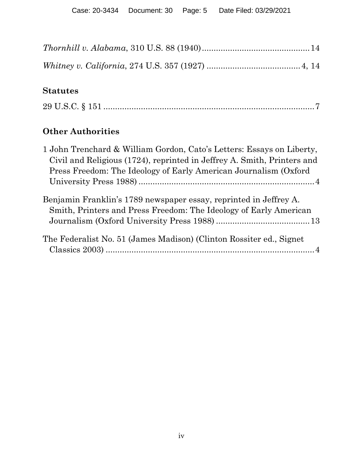# **Statutes**

|--|--|

# **Other Authorities**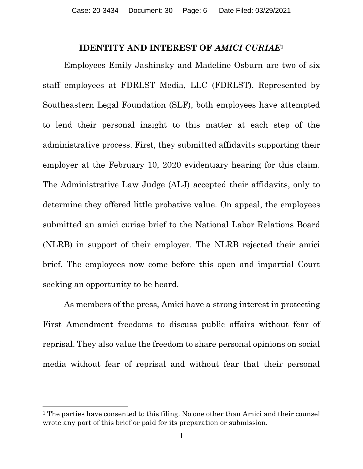#### **IDENTITY AND INTEREST OF** *AMICI CURIAE***<sup>1</sup>**

<span id="page-5-0"></span>Employees Emily Jashinsky and Madeline Osburn are two of six staff employees at FDRLST Media, LLC (FDRLST). Represented by Southeastern Legal Foundation (SLF), both employees have attempted to lend their personal insight to this matter at each step of the administrative process. First, they submitted affidavits supporting their employer at the February 10, 2020 evidentiary hearing for this claim. The Administrative Law Judge (ALJ) accepted their affidavits, only to determine they offered little probative value. On appeal, the employees submitted an amici curiae brief to the National Labor Relations Board (NLRB) in support of their employer. The NLRB rejected their amici brief. The employees now come before this open and impartial Court seeking an opportunity to be heard.

As members of the press, Amici have a strong interest in protecting First Amendment freedoms to discuss public affairs without fear of reprisal. They also value the freedom to share personal opinions on social media without fear of reprisal and without fear that their personal

<sup>&</sup>lt;sup>1</sup> The parties have consented to this filing. No one other than Amici and their counsel wrote any part of this brief or paid for its preparation or submission.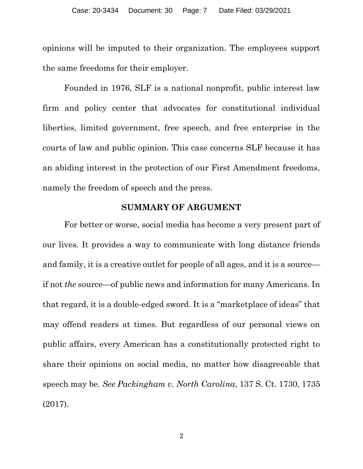opinions will be imputed to their organization. The employees support the same freedoms for their employer.

Founded in 1976, SLF is a national nonprofit, public interest law firm and policy center that advocates for constitutional individual liberties, limited government, free speech, and free enterprise in the courts of law and public opinion. This case concerns SLF because it has an abiding interest in the protection of our First Amendment freedoms, namely the freedom of speech and the press.

#### **SUMMARY OF ARGUMENT**

<span id="page-6-0"></span>For better or worse, social media has become a very present part of our lives. It provides a way to communicate with long distance friends and family, it is a creative outlet for people of all ages, and it is a source if not *the* source—of public news and information for many Americans. In that regard, it is a double-edged sword. It is a "marketplace of ideas" that may offend readers at times. But regardless of our personal views on public affairs, every American has a constitutionally protected right to share their opinions on social media, no matter how disagreeable that speech may be. *See Packingham v. North Carolina*, 137 S. Ct. 1730, 1735 (2017).

2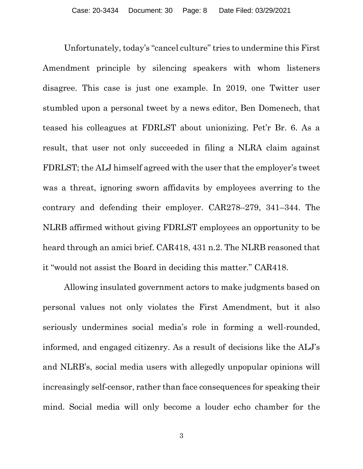Unfortunately, today's "cancel culture" tries to undermine this First Amendment principle by silencing speakers with whom listeners disagree. This case is just one example. In 2019, one Twitter user stumbled upon a personal tweet by a news editor, Ben Domenech, that teased his colleagues at FDRLST about unionizing. Pet'r Br. 6. As a result, that user not only succeeded in filing a NLRA claim against FDRLST; the ALJ himself agreed with the user that the employer's tweet was a threat, ignoring sworn affidavits by employees averring to the contrary and defending their employer. CAR278–279, 341–344. The NLRB affirmed without giving FDRLST employees an opportunity to be heard through an amici brief. CAR418, 431 n.2. The NLRB reasoned that it "would not assist the Board in deciding this matter." CAR418.

Allowing insulated government actors to make judgments based on personal values not only violates the First Amendment, but it also seriously undermines social media's role in forming a well-rounded, informed, and engaged citizenry. As a result of decisions like the ALJ's and NLRB's, social media users with allegedly unpopular opinions will increasingly self-censor, rather than face consequences for speaking their mind. Social media will only become a louder echo chamber for the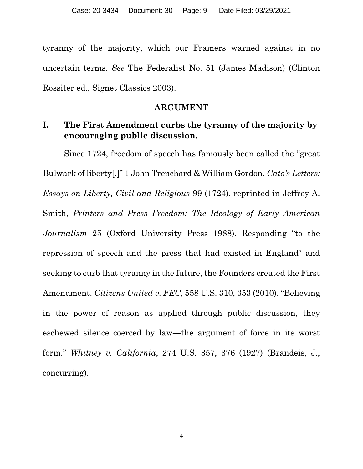tyranny of the majority, which our Framers warned against in no uncertain terms. *See* The Federalist No. 51 (James Madison) (Clinton Rossiter ed., Signet Classics 2003).

#### **ARGUMENT**

## <span id="page-8-1"></span><span id="page-8-0"></span>**I. The First Amendment curbs the tyranny of the majority by encouraging public discussion.**

Since 1724, freedom of speech has famously been called the "great Bulwark of liberty[.]" 1 John Trenchard & William Gordon, *Cato's Letters: Essays on Liberty, Civil and Religious* 99 (1724), reprinted in Jeffrey A. Smith, *Printers and Press Freedom: The Ideology of Early American Journalism* 25 (Oxford University Press 1988). Responding "to the repression of speech and the press that had existed in England" and seeking to curb that tyranny in the future, the Founders created the First Amendment. *Citizens United v. FEC*, 558 U.S. 310, 353 (2010). "Believing in the power of reason as applied through public discussion, they eschewed silence coerced by law—the argument of force in its worst form." *Whitney v. California*, 274 U.S. 357, 376 (1927) (Brandeis, J., concurring).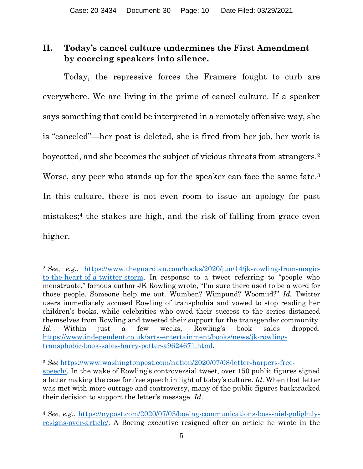## <span id="page-9-0"></span>**II. Today's cancel culture undermines the First Amendment by coercing speakers into silence.**

Today, the repressive forces the Framers fought to curb are everywhere. We are living in the prime of cancel culture. If a speaker says something that could be interpreted in a remotely offensive way, she is "canceled"—her post is deleted, she is fired from her job, her work is boycotted, and she becomes the subject of vicious threats from strangers.<sup>2</sup> Worse, any peer who stands up for the speaker can face the same fate.<sup>3</sup> In this culture, there is not even room to issue an apology for past mistakes;<sup>4</sup> the stakes are high, and the risk of falling from grace even higher.

<sup>2</sup> *See, e.g.*, [https://www.theguardian.com/books/2020/jun/14/jk-rowling-from-magic](https://www.theguardian.com/books/2020/jun/14/jk-rowling-from-magic-to-the-heart-of-a-twitter-storm)[to-the-heart-of-a-twitter-storm](https://www.theguardian.com/books/2020/jun/14/jk-rowling-from-magic-to-the-heart-of-a-twitter-storm). In response to a tweet referring to "people who menstruate," famous author JK Rowling wrote, "I'm sure there used to be a word for those people. Someone help me out. Wumben? Wimpund? Woomud?" *Id.* Twitter users immediately accused Rowling of transphobia and vowed to stop reading her children's books, while celebrities who owed their success to the series distanced themselves from Rowling and tweeted their support for the transgender community. *Id*. Within just a few weeks, Rowling's book sales dropped. [https://www.independent.co.uk/arts-entertainment/books/news/jk-rowling](https://www.independent.co.uk/arts-entertainment/books/news/jk-rowling-transphobic-book-sales-harry-potter-a9624671.html)[transphobic-book-sales-harry-potter-a9624671.html.](https://www.independent.co.uk/arts-entertainment/books/news/jk-rowling-transphobic-book-sales-harry-potter-a9624671.html)

<sup>3</sup> *See* [https://www.washingtonpost.com/nation/2020/07/08/letter-harpers-free](https://www.washingtonpost.com/nation/2020/07/08/letter-harpers-free-speech/)[speech/](https://www.washingtonpost.com/nation/2020/07/08/letter-harpers-free-speech/). In the wake of Rowling's controversial tweet, over 150 public figures signed a letter making the case for free speech in light of today's culture. *Id*. When that letter was met with more outrage and controversy, many of the public figures backtracked their decision to support the letter's message. *Id*.

<sup>4</sup> *See, e.g.*, [https://nypost.com/2020/07/03/boeing-communications-boss-niel-golightly](https://nypost.com/2020/07/03/boeing-communications-boss-niel-golightly-resigns-over-article/)[resigns-over-article/.](https://nypost.com/2020/07/03/boeing-communications-boss-niel-golightly-resigns-over-article/) A Boeing executive resigned after an article he wrote in the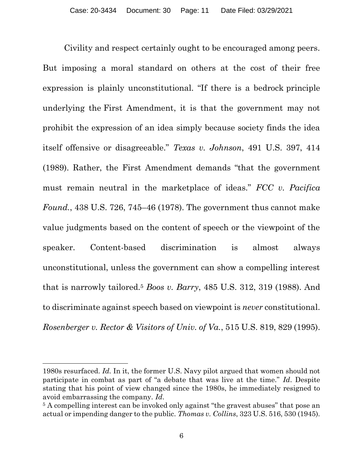Civility and respect certainly ought to be encouraged among peers. But imposing a moral standard on others at the cost of their free expression is plainly unconstitutional. "If there is a bedrock principle underlying the [First Amendment,](https://advance.lexis.com/search/?pdmfid=1000516&crid=f719a8d0-4bf0-48d7-bf1b-ff7bd45666da&pdsearchterms=Matal+v.+Tam%2C+137+S.+Ct.+1744&pdtypeofsearch=searchboxclick&pdsearchtype=SearchBox&pdstartin=&pdpsf=&pdqttype=and&pdquerytemplateid=&ecomp=x7d59kk&earg=pdsf&prid=f7387b1c-ae25-4b25-a776-59a75256e3f8) it is that the government may not prohibit the expression of an idea simply because society finds the idea itself offensive or disagreeable." *Texas v. Johnson*, 491 U.S. 397, 414 (1989). Rather, the First Amendment demands "that the government must remain neutral in the marketplace of ideas." *FCC v. Pacifica Found.*, 438 U.S. 726, 745–46 (1978). The government thus cannot make value judgments based on the content of speech or the viewpoint of the speaker. Content-based discrimination is almost always unconstitutional, unless the government can show a compelling interest that is narrowly tailored.<sup>5</sup> *Boos v. Barry*, 485 U.S. 312, 319 (1988). And to discriminate against speech based on viewpoint is *never* constitutional. *Rosenberger v. Rector & Visitors of Univ. of Va.*, 515 U.S. 819, 829 (1995).

<sup>1980</sup>s resurfaced. *Id.* In it, the former U.S. Navy pilot argued that women should not participate in combat as part of "a debate that was live at the time." *Id*. Despite stating that his point of view changed since the 1980s, he immediately resigned to avoid embarrassing the company. *Id*.

<sup>&</sup>lt;sup>5</sup> A compelling interest can be invoked only against "the gravest abuses" that pose an actual or impending danger to the public. *Thomas v. Collins*, 323 U.S. 516, 530 (1945).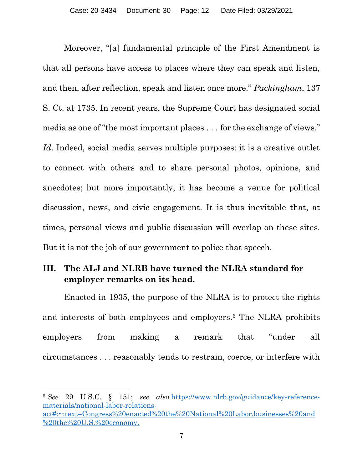Moreover, "[a] fundamental principle of the First Amendment is that all persons have access to places where they can speak and listen, and then, after reflection, speak and listen once more." *Packingham*, 137 S. Ct. at 1735. In recent years, the Supreme Court has designated social media as one of "the most important places . . . for the exchange of views." Id. Indeed, social media serves multiple purposes: it is a creative outlet to connect with others and to share personal photos, opinions, and anecdotes; but more importantly, it has become a venue for political discussion, news, and civic engagement. It is thus inevitable that, at times, personal views and public discussion will overlap on these sites. But it is not the job of our government to police that speech.

## <span id="page-11-0"></span>**III. The ALJ and NLRB have turned the NLRA standard for employer remarks on its head.**

Enacted in 1935, the purpose of the NLRA is to protect the rights and interests of both employees and employers.<sup>6</sup> The NLRA prohibits employers from making a remark that "under all circumstances . . . reasonably tends to restrain, coerce, or interfere with

<sup>6</sup> *See* 29 U.S.C. § 151; *see also* [https://www.nlrb.gov/guidance/key-reference](https://www.nlrb.gov/guidance/key-reference-materials/national-labor-relations-act#:~:text=Congress%20enacted%20the%20National%20Labor,businesses%20and%20the%20U.S.%20economy.)[materials/national-labor-relations](https://www.nlrb.gov/guidance/key-reference-materials/national-labor-relations-act#:~:text=Congress%20enacted%20the%20National%20Labor,businesses%20and%20the%20U.S.%20economy.)[act#:~:text=Congress%20enacted%20the%20National%20Labor,businesses%20and](https://www.nlrb.gov/guidance/key-reference-materials/national-labor-relations-act#:~:text=Congress%20enacted%20the%20National%20Labor,businesses%20and%20the%20U.S.%20economy.) [%20the%20U.S.%20economy.](https://www.nlrb.gov/guidance/key-reference-materials/national-labor-relations-act#:~:text=Congress%20enacted%20the%20National%20Labor,businesses%20and%20the%20U.S.%20economy.)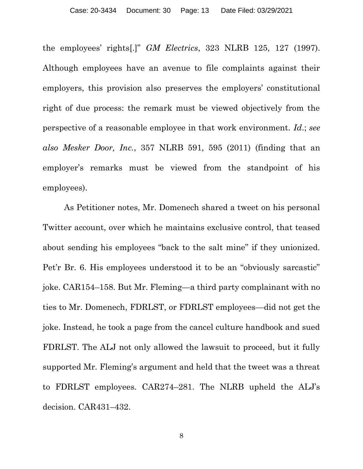the employees' rights[.]" *GM Electrics*, 323 NLRB 125, 127 (1997). Although employees have an avenue to file complaints against their employers, this provision also preserves the employers' constitutional right of due process: the remark must be viewed objectively from the perspective of a reasonable employee in that work environment. *Id*.; *see also Mesker Door, Inc.*, 357 NLRB 591, 595 (2011) (finding that an employer's remarks must be viewed from the standpoint of his employees).

As Petitioner notes, Mr. Domenech shared a tweet on his personal Twitter account, over which he maintains exclusive control, that teased about sending his employees "back to the salt mine" if they unionized. Pet'r Br. 6. His employees understood it to be an "obviously sarcastic" joke. CAR154–158. But Mr. Fleming—a third party complainant with no ties to Mr. Domenech, FDRLST, or FDRLST employees—did not get the joke. Instead, he took a page from the cancel culture handbook and sued FDRLST. The ALJ not only allowed the lawsuit to proceed, but it fully supported Mr. Fleming's argument and held that the tweet was a threat to FDRLST employees. CAR274–281. The NLRB upheld the ALJ's decision. CAR431–432.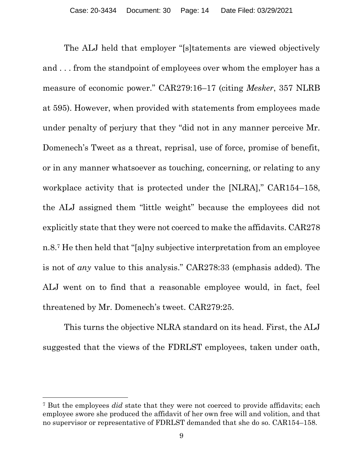The ALJ held that employer "[s]tatements are viewed objectively and . . . from the standpoint of employees over whom the employer has a measure of economic power." CAR279:16–17 (citing *Mesker*, 357 NLRB at 595). However, when provided with statements from employees made under penalty of perjury that they "did not in any manner perceive Mr. Domenech's Tweet as a threat, reprisal, use of force, promise of benefit, or in any manner whatsoever as touching, concerning, or relating to any workplace activity that is protected under the [NLRA]," CAR154–158, the ALJ assigned them "little weight" because the employees did not explicitly state that they were not coerced to make the affidavits. CAR278 n.8.<sup>7</sup> He then held that "[a]ny subjective interpretation from an employee is not of *any* value to this analysis." CAR278:33 (emphasis added). The ALJ went on to find that a reasonable employee would, in fact, feel threatened by Mr. Domenech's tweet. CAR279:25.

This turns the objective NLRA standard on its head. First, the ALJ suggested that the views of the FDRLST employees, taken under oath,

<sup>7</sup> But the employees *did* state that they were not coerced to provide affidavits; each employee swore she produced the affidavit of her own free will and volition, and that no supervisor or representative of FDRLST demanded that she do so. CAR154–158.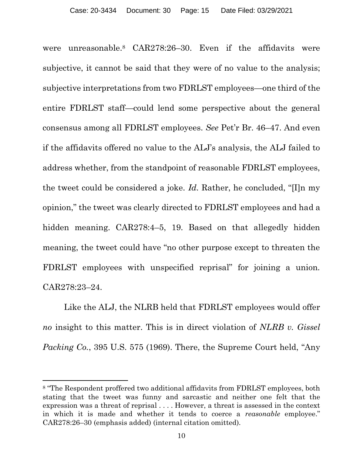were unreasonable.<sup>8</sup> CAR278:26–30. Even if the affidavits were subjective, it cannot be said that they were of no value to the analysis; subjective interpretations from two FDRLST employees—one third of the entire FDRLST staff—could lend some perspective about the general consensus among all FDRLST employees. *See* Pet'r Br. 46–47. And even if the affidavits offered no value to the ALJ's analysis, the ALJ failed to address whether, from the standpoint of reasonable FDRLST employees, the tweet could be considered a joke. *Id.* Rather, he concluded, "[I]n my opinion," the tweet was clearly directed to FDRLST employees and had a hidden meaning. CAR278:4-5, 19. Based on that allegedly hidden meaning, the tweet could have "no other purpose except to threaten the FDRLST employees with unspecified reprisal" for joining a union. CAR278:23–24.

Like the ALJ, the NLRB held that FDRLST employees would offer *no* insight to this matter. This is in direct violation of *NLRB v. Gissel Packing Co.*, 395 U.S. 575 (1969). There, the Supreme Court held, "Any

<sup>8</sup> "The Respondent proffered two additional affidavits from FDRLST employees, both stating that the tweet was funny and sarcastic and neither one felt that the expression was a threat of reprisal . . . . However, a threat is assessed in the context in which it is made and whether it tends to coerce a *reasonable* employee." CAR278:26–30 (emphasis added) (internal citation omitted).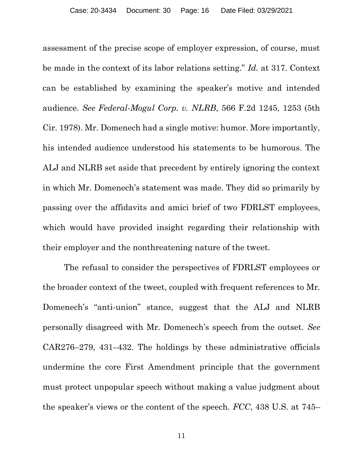assessment of the precise scope of employer expression, of course, must be made in the context of its labor relations setting." *Id.* at 317. Context can be established by examining the speaker's motive and intended audience. *See Federal-Mogul Corp. v. NLRB*, 566 F.2d 1245, 1253 (5th Cir. 1978). Mr. Domenech had a single motive: humor. More importantly, his intended audience understood his statements to be humorous. The ALJ and NLRB set aside that precedent by entirely ignoring the context in which Mr. Domenech's statement was made. They did so primarily by passing over the affidavits and amici brief of two FDRLST employees, which would have provided insight regarding their relationship with their employer and the nonthreatening nature of the tweet.

The refusal to consider the perspectives of FDRLST employees or the broader context of the tweet, coupled with frequent references to Mr. Domenech's "anti-union" stance, suggest that the ALJ and NLRB personally disagreed with Mr. Domenech's speech from the outset. *See*  CAR276–279, 431–432. The holdings by these administrative officials undermine the core First Amendment principle that the government must protect unpopular speech without making a value judgment about the speaker's views or the content of the speech. *FCC*, 438 U.S. at 745–

11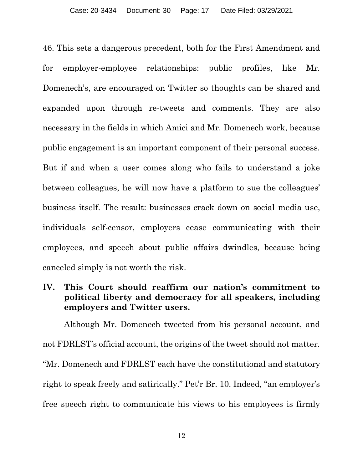46. This sets a dangerous precedent, both for the First Amendment and for employer-employee relationships: public profiles, like Mr. Domenech's, are encouraged on Twitter so thoughts can be shared and expanded upon through re-tweets and comments. They are also necessary in the fields in which Amici and Mr. Domenech work, because public engagement is an important component of their personal success. But if and when a user comes along who fails to understand a joke between colleagues, he will now have a platform to sue the colleagues' business itself. The result: businesses crack down on social media use, individuals self-censor, employers cease communicating with their employees, and speech about public affairs dwindles, because being canceled simply is not worth the risk.

### **IV. This Court should reaffirm our nation's commitment to political liberty and democracy for all speakers, including employers and Twitter users.**

Although Mr. Domenech tweeted from his personal account, and not FDRLST's official account, the origins of the tweet should not matter. "Mr. Domenech and FDRLST each have the constitutional and statutory right to speak freely and satirically." Pet'r Br. 10. Indeed, "an employer's free speech right to communicate his views to his employees is firmly

12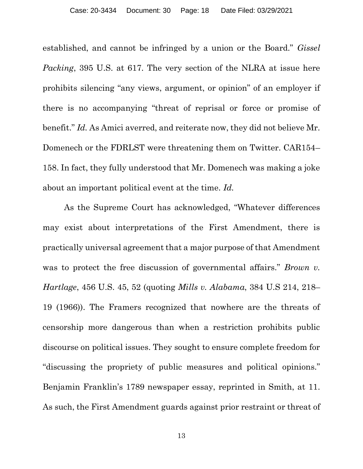established, and cannot be infringed by a union or the Board." *Gissel Packing*, 395 U.S. at 617. The very section of the NLRA at issue here prohibits silencing "any views, argument, or opinion" of an employer if there is no accompanying "threat of reprisal or force or promise of benefit." *Id.* As Amici averred, and reiterate now, they did not believe Mr. Domenech or the FDRLST were threatening them on Twitter. CAR154– 158. In fact, they fully understood that Mr. Domenech was making a joke about an important political event at the time. *Id.*

As the Supreme Court has acknowledged, "Whatever differences may exist about interpretations of the First Amendment, there is practically universal agreement that a major purpose of that Amendment was to protect the free discussion of governmental affairs." *Brown v. Hartlage*, 456 U.S. 45, 52 (quoting *Mills v. Alabama*, 384 U.S 214, 218– 19 (1966)). The Framers recognized that nowhere are the threats of censorship more dangerous than when a restriction prohibits public discourse on political issues. They sought to ensure complete freedom for "discussing the propriety of public measures and political opinions." Benjamin Franklin's 1789 newspaper essay, reprinted in Smith, at 11. As such, the First Amendment guards against prior restraint or threat of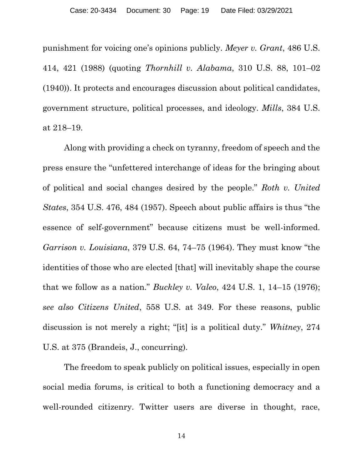punishment for voicing one's opinions publicly. *Meyer v. Grant*, 486 U.S. 414, 421 (1988) (quoting *Thornhill v. Alabama*, 310 U.S. 88, 101–02 (1940)). It protects and encourages discussion about political candidates, government structure, political processes, and ideology. *Mills*, 384 U.S. at 218–19.

Along with providing a check on tyranny, freedom of speech and the press ensure the "unfettered interchange of ideas for the bringing about of political and social changes desired by the people." *Roth v. United States*, 354 U.S. 476, 484 (1957). Speech about public affairs is thus "the essence of self-government" because citizens must be well-informed. *Garrison v. Louisiana*, 379 U.S. 64, 74–75 (1964). They must know "the identities of those who are elected [that] will inevitably shape the course that we follow as a nation." *Buckley v. Valeo*, 424 U.S. 1, 14–15 (1976); *see also Citizens United*, 558 U.S. at 349. For these reasons, public discussion is not merely a right; "[it] is a political duty." *Whitney*, 274 U.S. at 375 (Brandeis, J., concurring).

The freedom to speak publicly on political issues, especially in open social media forums, is critical to both a functioning democracy and a well-rounded citizenry. Twitter users are diverse in thought, race,

14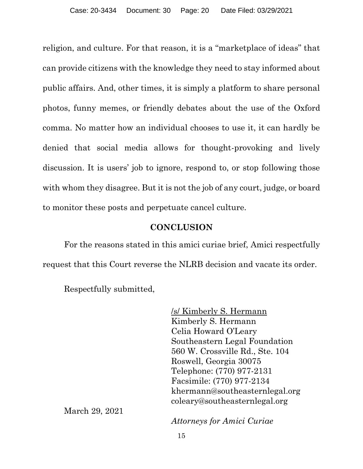religion, and culture. For that reason, it is a "marketplace of ideas" that can provide citizens with the knowledge they need to stay informed about public affairs. And, other times, it is simply a platform to share personal photos, funny memes, or friendly debates about the use of the Oxford comma. No matter how an individual chooses to use it, it can hardly be denied that social media allows for thought-provoking and lively discussion. It is users' job to ignore, respond to, or stop following those with whom they disagree. But it is not the job of any court, judge, or board to monitor these posts and perpetuate cancel culture.

## **CONCLUSION**

<span id="page-19-0"></span>For the reasons stated in this amici curiae brief, Amici respectfully request that this Court reverse the NLRB decision and vacate its order.

Respectfully submitted,

<span id="page-19-1"></span>/s/ Kimberly S. Hermann Kimberly S. Hermann Celia Howard O'Leary Southeastern Legal Foundation 560 W. Crossville Rd., Ste. 104 Roswell, Georgia 30075 Telephone: (770) 977-2131 Facsimile: (770) 977-2134 khermann@southeasternlegal.org coleary@southeasternlegal.org

March 29, 2021

*Attorneys for Amici Curiae*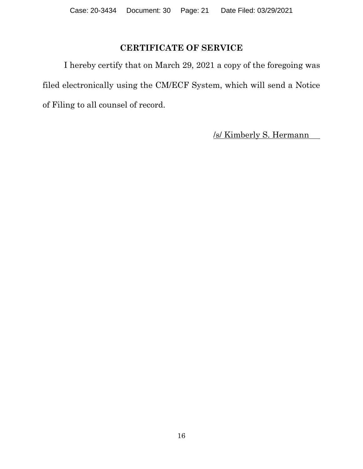# **CERTIFICATE OF SERVICE**

I hereby certify that on March 29, 2021 a copy of the foregoing was filed electronically using the CM/ECF System, which will send a Notice of Filing to all counsel of record.

/s/ Kimberly S. Hermann